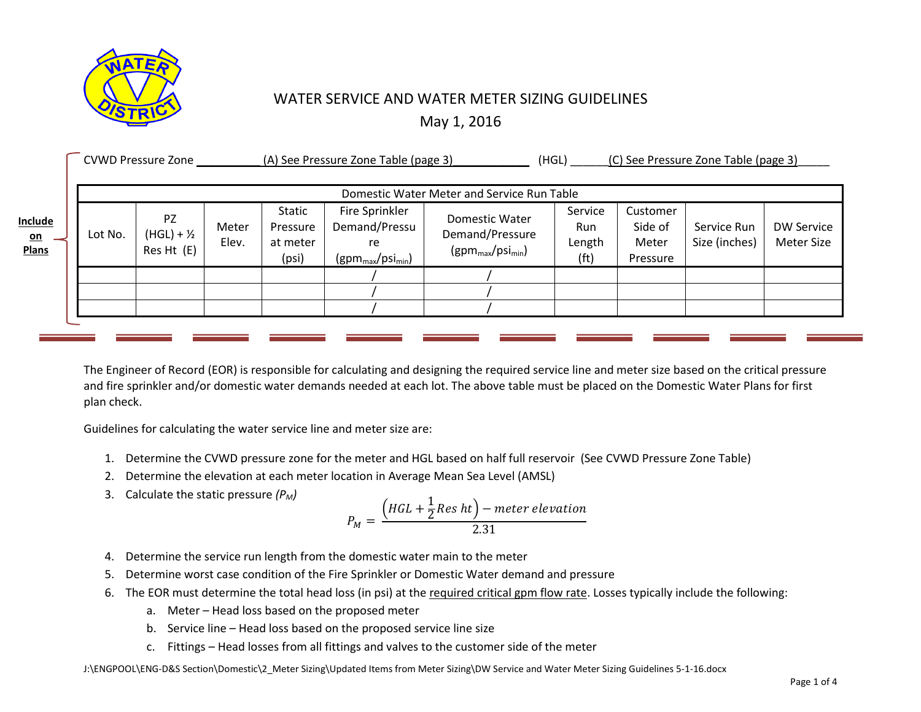

## WATER SERVICE AND WATER METER SIZING GUIDELINES

May 1, 2016

|                                             | <b>CVWD Pressure Zone</b>                  |                                   | (A) See Pressure Zone Table (page 3) |                                                |                                                                                | (HGL)                                                                      | (C) See Pressure Zone Table (page 3) |                                          |                              |                                 |
|---------------------------------------------|--------------------------------------------|-----------------------------------|--------------------------------------|------------------------------------------------|--------------------------------------------------------------------------------|----------------------------------------------------------------------------|--------------------------------------|------------------------------------------|------------------------------|---------------------------------|
|                                             | Domestic Water Meter and Service Run Table |                                   |                                      |                                                |                                                                                |                                                                            |                                      |                                          |                              |                                 |
| <b>Include</b><br><u>on</u><br><b>Plans</b> | Lot No.                                    | PZ<br>$(HGL) + 1/2$<br>Res Ht (E) | Meter<br>Elev.                       | <b>Static</b><br>Pressure<br>at meter<br>(psi) | Fire Sprinkler<br>Demand/Pressu<br>re<br>$(gpm_{\text{max}}/psi_{\text{min}})$ | Domestic Water<br>Demand/Pressure<br>$(gpm_{\text{max}}/psi_{\text{min}})$ | Service<br>Run<br>Length<br>(ft)     | Customer<br>Side of<br>Meter<br>Pressure | Service Run<br>Size (inches) | <b>DW Service</b><br>Meter Size |
|                                             |                                            |                                   |                                      |                                                |                                                                                |                                                                            |                                      |                                          |                              |                                 |
|                                             |                                            |                                   |                                      |                                                |                                                                                |                                                                            |                                      |                                          |                              |                                 |
|                                             |                                            |                                   |                                      |                                                |                                                                                |                                                                            |                                      |                                          |                              |                                 |

The Engineer of Record (EOR) is responsible for calculating and designing the required service line and meter size based on the critical pressure and fire sprinkler and/or domestic water demands needed at each lot. The above table must be placed on the Domestic Water Plans for first plan check.

Guidelines for calculating the water service line and meter size are:

- 1. Determine the CVWD pressure zone for the meter and HGL based on half full reservoir (See CVWD Pressure Zone Table)
- 2. Determine the elevation at each meter location in Average Mean Sea Level (AMSL)
- 3. Calculate the static pressure *(PM)*

$$
P_M = \frac{\left(HGL + \frac{1}{2}Res\ ht\right) - meter\ elevation}{2.31}
$$

- 4. Determine the service run length from the domestic water main to the meter
- 5. Determine worst case condition of the Fire Sprinkler or Domestic Water demand and pressure
- 6. The EOR must determine the total head loss (in psi) at the required critical gpm flow rate. Losses typically include the following:
	- a. Meter Head loss based on the proposed meter
	- b. Service line Head loss based on the proposed service line size
	- c. Fittings Head losses from all fittings and valves to the customer side of the meter

J:\ENGPOOL\ENG-D&S Section\Domestic\2\_Meter Sizing\Updated Items from Meter Sizing\DW Service and Water Meter Sizing Guidelines 5-1-16.docx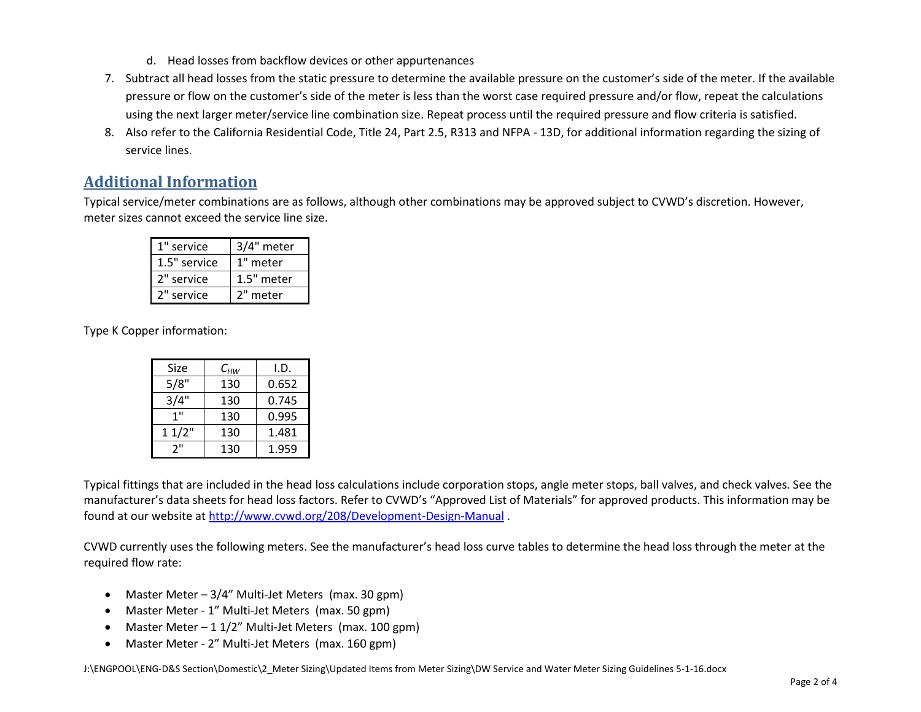- d. Head losses from backflow devices or other appurtenances
- 7. Subtract all head losses from the static pressure to determine the available pressure on the customer's side of the meter. If the available pressure or flow on the customer's side of the meter is less than the worst case required pressure and/or flow, repeat the calculations using the next larger meter/service line combination size. Repeat process until the required pressure and flow criteria is satisfied.
- 8. Also refer to the California Residential Code, Title 24, Part 2.5, R313 and NFPA 13D, for additional information regarding the sizing of service lines.

## **Additional Information**

Typical service/meter combinations are as follows, although other combinations may be approved subject to CVWD's discretion. However, meter sizes cannot exceed the service line size.

| 1" service   | 3/4" meter |
|--------------|------------|
| 1.5" service | 1" meter   |
| 2" service   | 1.5" meter |
| 2" service   | 2" meter   |

Type K Copper information:

| Size  | $\mathsf{C}_{HW}$ | I.D.  |
|-------|-------------------|-------|
| 5/8"  | 130               | 0.652 |
| 3/4"  | 130               | 0.745 |
| 1"    | 130               | 0.995 |
| 11/2" | 130               | 1.481 |
| יי כ  | 130               | 1.959 |

Typical fittings that are included in the head loss calculations include corporation stops, angle meter stops, ball valves, and check valves. See the manufacturer's data sheets for head loss factors. Refer to CVWD's "Approved List of Materials" for approved products. This information may be found at our website at<http://www.cvwd.org/208/Development-Design-Manual> .

CVWD currently uses the following meters. See the manufacturer's head loss curve tables to determine the head loss through the meter at the required flow rate:

- Master Meter 3/4" Multi-Jet Meters (max. 30 gpm)
- Master Meter 1" Multi-Jet Meters (max. 50 gpm)
- Master Meter  $-11/2$ " Multi-Jet Meters (max. 100 gpm)
- Master Meter 2" Multi-Jet Meters (max. 160 gpm)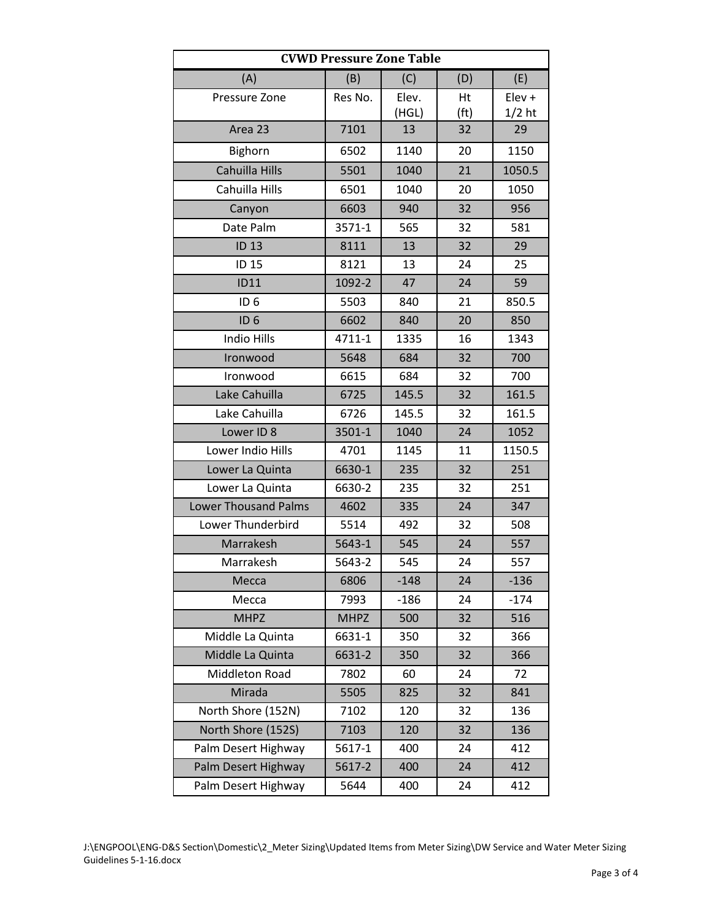| <b>CVWD Pressure Zone Table</b> |             |        |                   |          |  |  |
|---------------------------------|-------------|--------|-------------------|----------|--|--|
| (A)                             | (B)         | (C)    | (D)               | (E)      |  |  |
| Pressure Zone                   | Res No.     | Elev.  | Ht                | Elev +   |  |  |
|                                 |             | (HGL)  | (f <sup>t</sup> ) | $1/2$ ht |  |  |
| Area 23                         | 7101        | 13     | 32                | 29       |  |  |
| Bighorn                         | 6502        | 1140   | 20                | 1150     |  |  |
| Cahuilla Hills                  | 5501        | 1040   | 21                | 1050.5   |  |  |
| Cahuilla Hills                  | 6501        | 1040   | 20                | 1050     |  |  |
| Canyon                          | 6603        | 940    | 32                | 956      |  |  |
| Date Palm                       | 3571-1      | 565    | 32                |          |  |  |
| <b>ID 13</b>                    | 8111        | 13     | 32                | 29       |  |  |
| ID 15                           | 8121        | 13     | 24                | 25       |  |  |
| <b>ID11</b>                     | 1092-2      | 47     | 24                | 59       |  |  |
| ID <sub>6</sub>                 | 5503        | 840    | 21                | 850.5    |  |  |
| ID <sub>6</sub>                 | 6602        | 840    | 20                | 850      |  |  |
| Indio Hills                     | 4711-1      | 1335   | 16                | 1343     |  |  |
| Ironwood                        | 5648        | 684    | 32                | 700      |  |  |
| Ironwood                        | 6615        | 684    | 32                | 700      |  |  |
| Lake Cahuilla                   | 6725        | 145.5  | 32                | 161.5    |  |  |
| Lake Cahuilla                   | 6726        | 145.5  | 32                | 161.5    |  |  |
| Lower ID 8                      | 3501-1      | 1040   | 24                | 1052     |  |  |
| Lower Indio Hills               | 4701        | 1145   | 11                | 1150.5   |  |  |
| Lower La Quinta                 | 6630-1      | 235    | 32                | 251      |  |  |
| Lower La Quinta                 | 6630-2      | 235    | 32                | 251      |  |  |
| <b>Lower Thousand Palms</b>     | 4602        | 335    | 24                | 347      |  |  |
| Lower Thunderbird               | 5514        | 492    | 32                | 508      |  |  |
| Marrakesh                       | 5643-1      | 545    | 24                | 557      |  |  |
| Marrakesh                       | 5643-2      | 545    | 24                | 557      |  |  |
| Mecca                           | 6806        | $-148$ | 24                | $-136$   |  |  |
| Mecca                           | 7993        | $-186$ | 24                | $-174$   |  |  |
| <b>MHPZ</b>                     | <b>MHPZ</b> | 500    | 32                | 516      |  |  |
| Middle La Quinta                | 6631-1      | 350    | 32                | 366      |  |  |
| Middle La Quinta                | 6631-2      | 350    | 32                | 366      |  |  |
| Middleton Road                  | 7802        | 60     | 24                | 72       |  |  |
| Mirada                          | 5505        | 825    | 32                | 841      |  |  |
| North Shore (152N)              | 7102        | 120    | 32                | 136      |  |  |
| North Shore (152S)              | 7103        | 120    | 32                | 136      |  |  |
| Palm Desert Highway             | 5617-1      | 400    | 24                | 412      |  |  |
| Palm Desert Highway             | 5617-2      | 400    | 24                | 412      |  |  |
| Palm Desert Highway             | 5644        | 400    | 24                | 412      |  |  |